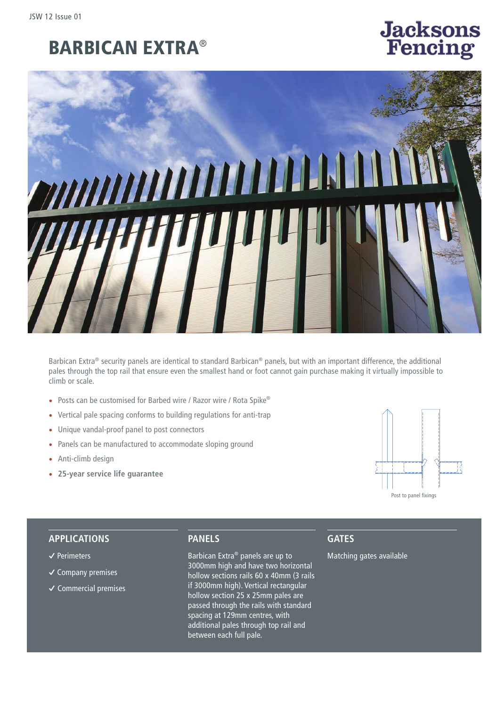# BARBICAN EXTRA®

# **Jacksons**<br>Fencing



Barbican Extra® security panels are identical to standard Barbican® panels, but with an important difference, the additional pales through the top rail that ensure even the smallest hand or foot cannot gain purchase making it virtually impossible to climb or scale.

- Posts can be customised for Barbed wire / Razor wire / Rota Spike®
- Vertical pale spacing conforms to building regulations for anti-trap
- Unique vandal-proof panel to post connectors
- Panels can be manufactured to accommodate sloping ground
- Anti-climb design
- **25-year service life guarantee**



#### **APPLICATIONS**

- **�** Perimeters
- **�** Company premises
- **�** Commercial premises

### **PANELS**

Barbican Extra® panels are up to 3000mm high and have two horizontal hollow sections rails 60 x 40mm (3 rails if 3000mm high). Vertical rectangular hollow section 25 x 25mm pales are passed through the rails with standard spacing at 129mm centres, with additional pales through top rail and between each full pale.

#### **GATES**

Matching gates available